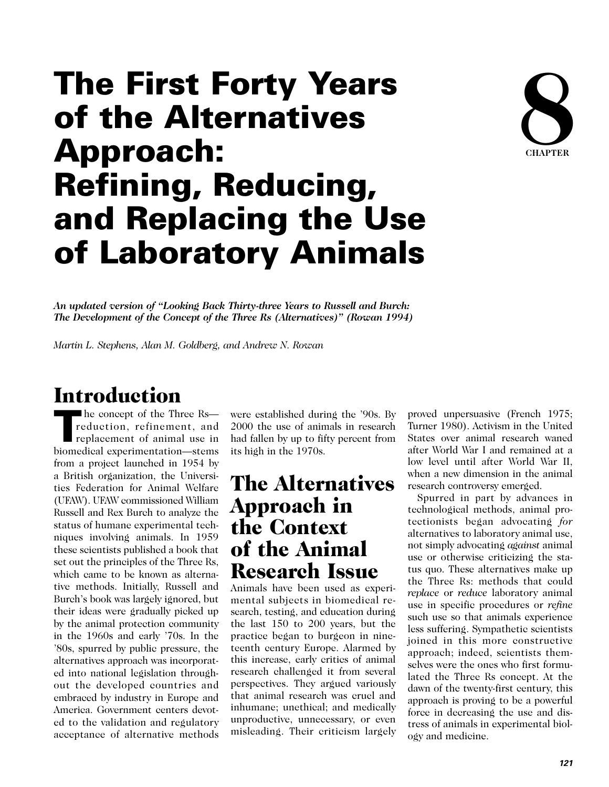# **The First Forty Years of the Alternatives Approach: Refining, Reducing, and Replacing the Use of Laboratory Animals**



*An updated version of "Looking Back Thirty-three Years to Russell and Burch: The Development of the Concept of the Three Rs (Alternatives)" (Rowan 1994)*

*Martin L. Stephens, Alan M. Goldberg, and Andrew N. Rowan*

# Introduction

he concept of the Three Rs— **T**reduction, refinement, and replacement of animal use in biomedical experimentation—stems from a project launched in 1954 by a British organization, the Universities Federation for Animal Welfare (UFAW). UFAW commissioned William Russell and Rex Burch to analyze the status of humane experimental techniques involving animals. In 1959 these scientists published a book that set out the principles of the Three Rs, which came to be known as alternative methods. Initially, Russell and Burch's book was largely ignored, but their ideas were gradually picked up by the animal protection community in the 1960s and early '70s. In the '80s, spurred by public pressure, the alternatives approach was incorporated into national legislation throughout the developed countries and embraced by industry in Europe and America. Government centers devoted to the validation and regulatory acceptance of alternative methods

were established during the '90s. By 2000 the use of animals in research had fallen by up to fifty percent from its high in the 1970s.

### The Alternatives Approach in the Context of the Animal Research Issue

Animals have been used as experimental subjects in biomedical research, testing, and education during the last 150 to 200 years, but the practice began to burgeon in nineteenth century Europe. Alarmed by this increase, early critics of animal research challenged it from several perspectives. They argued variously that animal research was cruel and inhumane; unethical; and medically unproductive, unnecessary, or even misleading. Their criticism largely proved unpersuasive (French 1975; Turner 1980). Activism in the United States over animal research waned after World War I and remained at a low level until after World War II, when a new dimension in the animal research controversy emerged.

Spurred in part by advances in technological methods, animal protectionists began advocating *for* alternatives to laboratory animal use, not simply advocating *against* animal use or otherwise criticizing the status quo. These alternatives make up the Three Rs: methods that could *replace* or *reduce* laboratory animal use in specific procedures or *refine* such use so that animals experience less suffering. Sympathetic scientists joined in this more constructive approach; indeed, scientists themselves were the ones who first formulated the Three Rs concept. At the dawn of the twenty-first century, this approach is proving to be a powerful force in decreasing the use and distress of animals in experimental biology and medicine.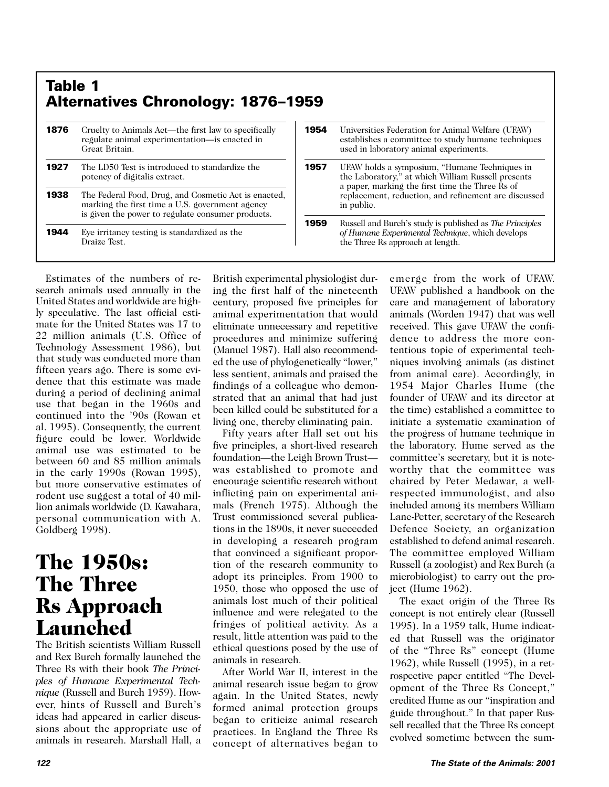#### **Table 1 Alternatives Chronology: 1876–1959**

| 1876 | Cruelty to Animals Act—the first law to specifically<br>regulate animal experimentation-is enacted in<br>Great Britain.                                      | 1954 | Universities Federation for Animal Welfare (UFAW)<br>establishes a committee to study humane techniques<br>used in laboratory animal experiments.       |
|------|--------------------------------------------------------------------------------------------------------------------------------------------------------------|------|---------------------------------------------------------------------------------------------------------------------------------------------------------|
| 1927 | The LD50 Test is introduced to standardize the<br>potency of digitalis extract.                                                                              | 1957 | UFAW holds a symposium, "Humane Techniques in<br>the Laboratory," at which William Russell presents                                                     |
| 1938 | The Federal Food, Drug, and Cosmetic Act is enacted,<br>marking the first time a U.S. government agency<br>is given the power to regulate consumer products. |      | a paper, marking the first time the Three Rs of<br>replacement, reduction, and refinement are discussed<br>in public.                                   |
| 1944 | Eye irritancy testing is standardized as the<br>Draize Test.                                                                                                 | 1959 | Russell and Burch's study is published as <i>The Principles</i><br>of Humane Experimental Technique, which develops<br>the Three Rs approach at length. |

Estimates of the numbers of research animals used annually in the United States and worldwide are highly speculative. The last official estimate for the United States was 17 to 22 million animals (U.S. Office of Technology Assessment 1986), but that study was conducted more than fifteen years ago. There is some evidence that this estimate was made during a period of declining animal use that began in the 1960s and continued into the '90s (Rowan et al. 1995). Consequently, the current figure could be lower. Worldwide animal use was estimated to be between 60 and 85 million animals in the early 1990s (Rowan 1995), but more conservative estimates of rodent use suggest a total of 40 million animals worldwide (D. Kawahara, personal communication with A. Goldberg 1998).

### The 1950s: The Three Rs Approach Launched

The British scientists William Russell and Rex Burch formally launched the Three Rs with their book *The Principles of Humane Experimental Technique* (Russell and Burch 1959). However, hints of Russell and Burch's ideas had appeared in earlier discussions about the appropriate use of animals in research. Marshall Hall, a

British experimental physiologist during the first half of the nineteenth century, proposed five principles for animal experimentation that would eliminate unnecessary and repetitive procedures and minimize suffering (Manuel 1987). Hall also recommended the use of phylogenetically "lower," less sentient, animals and praised the findings of a colleague who demonstrated that an animal that had just been killed could be substituted for a living one, thereby eliminating pain.

Fifty years after Hall set out his five principles, a short-lived research foundation—the Leigh Brown Trust was established to promote and encourage scientific research without inflicting pain on experimental animals (French 1975). Although the Trust commissioned several publications in the 1890s, it never succeeded in developing a research program that convinced a significant proportion of the research community to adopt its principles. From 1900 to 1950, those who opposed the use of animals lost much of their political influence and were relegated to the fringes of political activity. As a result, little attention was paid to the ethical questions posed by the use of animals in research.

After World War II, interest in the animal research issue began to grow again. In the United States, newly formed animal protection groups began to criticize animal research practices. In England the Three Rs concept of alternatives began to

emerge from the work of UFAW. UFAW published a handbook on the care and management of laboratory animals (Worden 1947) that was well received. This gave UFAW the confidence to address the more contentious topic of experimental techniques involving animals (as distinct from animal care). Accordingly, in 1954 Major Charles Hume (the founder of UFAW and its director at the time) established a committee to initiate a systematic examination of the progress of humane technique in the laboratory. Hume served as the committee's secretary, but it is noteworthy that the committee was chaired by Peter Medawar, a wellrespected immunologist, and also included among its members William Lane-Petter, secretary of the Research Defence Society, an organization established to defend animal research. The committee employed William Russell (a zoologist) and Rex Burch (a microbiologist) to carry out the project (Hume 1962).

The exact origin of the Three Rs concept is not entirely clear (Russell 1995). In a 1959 talk, Hume indicated that Russell was the originator of the "Three Rs" concept (Hume 1962), while Russell (1995), in a retrospective paper entitled "The Development of the Three Rs Concept," credited Hume as our "inspiration and guide throughout." In that paper Russell recalled that the Three Rs concept evolved sometime between the sum-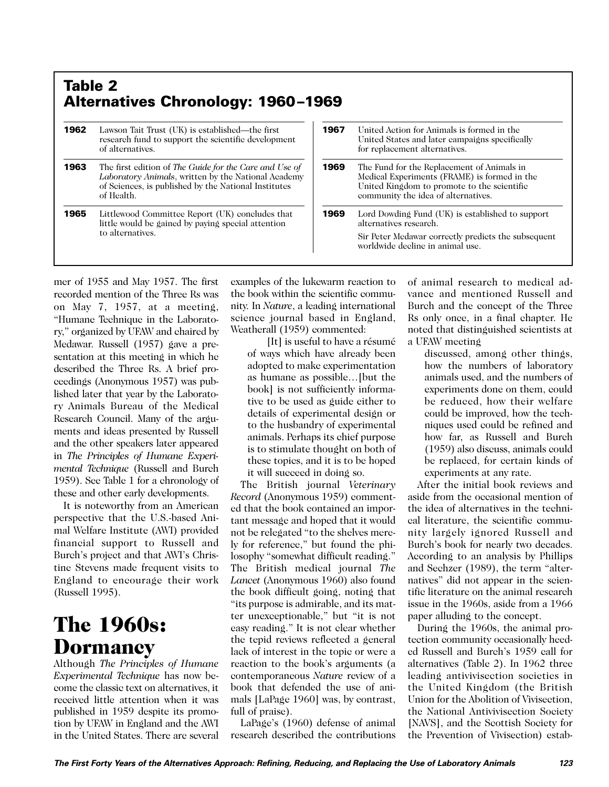#### **Table 2 Alternatives Chronology: 1960–1969**

| 1962 | Lawson Tait Trust (UK) is established—the first<br>research fund to support the scientific development<br>of alternatives.                                                          | 1967 | United Action for Animals is formed in the<br>United States and later campaigns specifically<br>for replacement alternatives.                                                    |
|------|-------------------------------------------------------------------------------------------------------------------------------------------------------------------------------------|------|----------------------------------------------------------------------------------------------------------------------------------------------------------------------------------|
| 1963 | The first edition of The Guide for the Care and Use of<br>Laboratory Animals, written by the National Academy<br>of Sciences, is published by the National Institutes<br>of Health. | 1969 | The Fund for the Replacement of Animals in<br>Medical Experiments (FRAME) is formed in the<br>United Kingdom to promote to the scientific<br>community the idea of alternatives. |
| 1965 | Littlewood Committee Report (UK) concludes that<br>little would be gained by paying special attention<br>to alternatives.                                                           | 1969 | Lord Dowding Fund (UK) is established to support<br>alternatives research.                                                                                                       |
|      |                                                                                                                                                                                     |      | Sir Peter Medawar correctly predicts the subsequent<br>worldwide decline in animal use.                                                                                          |

mer of 1955 and May 1957. The first recorded mention of the Three Rs was on May 7, 1957, at a meeting, "Humane Technique in the Laboratory," organized by UFAW and chaired by Medawar. Russell (1957) gave a presentation at this meeting in which he described the Three Rs. A brief proceedings (Anonymous 1957) was published later that year by the Laboratory Animals Bureau of the Medical Research Council. Many of the arguments and ideas presented by Russell and the other speakers later appeared in *The Principles of Humane Experimental Technique* (Russell and Burch 1959). See Table 1 for a chronology of these and other early developments.

It is noteworthy from an American perspective that the U.S.-based Animal Welfare Institute (AWI) provided financial support to Russell and Burch's project and that AWI's Christine Stevens made frequent visits to England to encourage their work (Russell 1995).

# The 1960s: **Dormancy**

Although *The Principles of Humane Experimental Technique* has now become the classic text on alternatives, it received little attention when it was published in 1959 despite its promotion by UFAW in England and the AWI in the United States. There are several examples of the lukewarm reaction to the book within the scientific community. In *Nature*, a leading international science journal based in England, Weatherall (1959) commented:

[It] is useful to have a résumé of ways which have already been adopted to make experimentation as humane as possible…[but the book] is not sufficiently informative to be used as guide either to details of experimental design or to the husbandry of experimental animals. Perhaps its chief purpose is to stimulate thought on both of these topics, and it is to be hoped it will succeed in doing so.

The British journal *Veterinary Record* (Anonymous 1959) commented that the book contained an important message and hoped that it would not be relegated "to the shelves merely for reference," but found the philosophy "somewhat difficult reading." The British medical journal *The Lancet* (Anonymous 1960) also found the book difficult going, noting that "its purpose is admirable, and its matter unexceptionable," but "it is not easy reading." It is not clear whether the tepid reviews reflected a general lack of interest in the topic or were a reaction to the book's arguments (a contemporaneous *Nature* review of a book that defended the use of animals [LaPage 1960] was, by contrast, full of praise).

LaPage's (1960) defense of animal research described the contributions of animal research to medical advance and mentioned Russell and Burch and the concept of the Three Rs only once, in a final chapter. He noted that distinguished scientists at a UFAW meeting

discussed, among other things, how the numbers of laboratory animals used, and the numbers of experiments done on them, could be reduced, how their welfare could be improved, how the techniques used could be refined and how far, as Russell and Burch (1959) also discuss, animals could be replaced, for certain kinds of experiments at any rate.

After the initial book reviews and aside from the occasional mention of the idea of alternatives in the technical literature, the scientific community largely ignored Russell and Burch's book for nearly two decades. According to an analysis by Phillips and Sechzer (1989), the term "alternatives" did not appear in the scientific literature on the animal research issue in the 1960s, aside from a 1966 paper alluding to the concept.

During the 1960s, the animal protection community occasionally heeded Russell and Burch's 1959 call for alternatives (Table 2). In 1962 three leading antivivisection societies in the United Kingdom (the British Union for the Abolition of Vivisection, the National Antivivisection Society [NAVS], and the Scottish Society for the Prevention of Vivisection) estab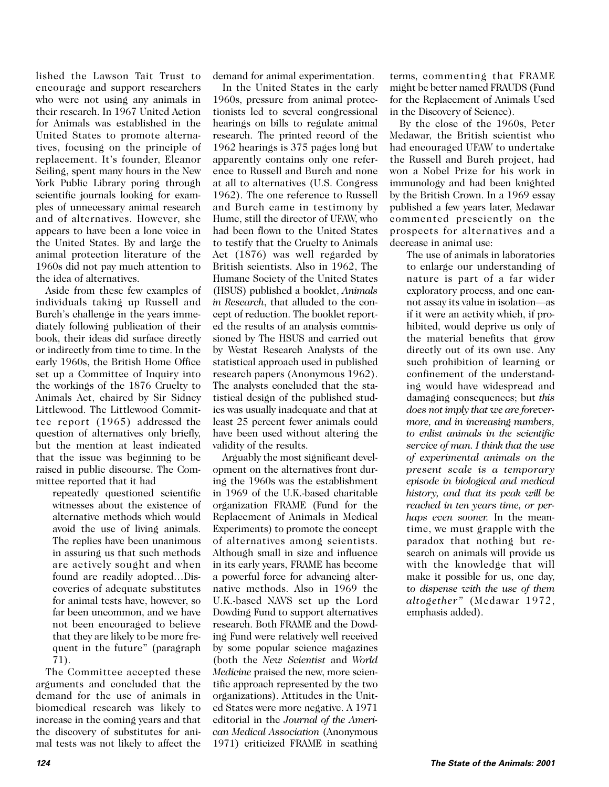lished the Lawson Tait Trust to encourage and support researchers who were not using any animals in their research. In 1967 United Action for Animals was established in the United States to promote alternatives, focusing on the principle of replacement. It's founder, Eleanor Seiling, spent many hours in the New York Public Library poring through scientific journals looking for examples of unnecessary animal research and of alternatives. However, she appears to have been a lone voice in the United States. By and large the animal protection literature of the 1960s did not pay much attention to the idea of alternatives.

Aside from these few examples of individuals taking up Russell and Burch's challenge in the years immediately following publication of their book, their ideas did surface directly or indirectly from time to time. In the early 1960s, the British Home Office set up a Committee of Inquiry into the workings of the 1876 Cruelty to Animals Act, chaired by Sir Sidney Littlewood. The Littlewood Committee report (1965) addressed the question of alternatives only briefly, but the mention at least indicated that the issue was beginning to be raised in public discourse. The Committee reported that it had

> repeatedly questioned scientific witnesses about the existence of alternative methods which would avoid the use of living animals. The replies have been unanimous in assuring us that such methods are actively sought and when found are readily adopted…Discoveries of adequate substitutes for animal tests have, however, so far been uncommon, and we have not been encouraged to believe that they are likely to be more frequent in the future" (paragraph 71).

The Committee accepted these arguments and concluded that the demand for the use of animals in biomedical research was likely to increase in the coming years and that the discovery of substitutes for animal tests was not likely to affect the

demand for animal experimentation.

In the United States in the early 1960s, pressure from animal protectionists led to several congressional hearings on bills to regulate animal research. The printed record of the 1962 hearings is 375 pages long but apparently contains only one reference to Russell and Burch and none at all to alternatives (U.S. Congress 1962). The one reference to Russell and Burch came in testimony by Hume, still the director of UFAW, who had been flown to the United States to testify that the Cruelty to Animals Act (1876) was well regarded by British scientists. Also in 1962, The Humane Society of the United States (HSUS) published a booklet, *Animals in Research*, that alluded to the concept of reduction. The booklet reported the results of an analysis commissioned by The HSUS and carried out by Westat Research Analysts of the statistical approach used in published research papers (Anonymous 1962). The analysts concluded that the statistical design of the published studies was usually inadequate and that at least 25 percent fewer animals could have been used without altering the validity of the results.

Arguably the most significant development on the alternatives front during the 1960s was the establishment in 1969 of the U.K.-based charitable organization FRAME (Fund for the Replacement of Animals in Medical Experiments) to promote the concept of alternatives among scientists. Although small in size and influence in its early years, FRAME has become a powerful force for advancing alternative methods. Also in 1969 the U.K.-based NAVS set up the Lord Dowding Fund to support alternatives research. Both FRAME and the Dowding Fund were relatively well received by some popular science magazines (both the *New Scientist* and *World Medicine* praised the new, more scientific approach represented by the two organizations). Attitudes in the United States were more negative. A 1971 editorial in the *Journal of the American Medical Association* (Anonymous 1971) criticized FRAME in scathing

terms, commenting that FRAME might be better named FRAUDS (Fund for the Replacement of Animals Used in the Discovery of Science).

By the close of the 1960s, Peter Medawar, the British scientist who had encouraged UFAW to undertake the Russell and Burch project, had won a Nobel Prize for his work in immunology and had been knighted by the British Crown. In a 1969 essay published a few years later, Medawar commented presciently on the prospects for alternatives and a decrease in animal use:

The use of animals in laboratories to enlarge our understanding of nature is part of a far wider exploratory process, and one cannot assay its value in isolation—as if it were an activity which, if prohibited, would deprive us only of the material benefits that grow directly out of its own use. Any such prohibition of learning or confinement of the understanding would have widespread and damaging consequences; but *this does not imply that we are forevermore, and in increasing numbers, to enlist animals in the scientific service of man. I think that the use of experimental animals on the present scale is a temporary episode in biological and medical history, and that its peak will be reached in ten years time, or perhaps even sooner.* In the meantime, we must grapple with the paradox that nothing but research on animals will provide us with the knowledge that will make it possible for us, one day, t*o dispense with the use of them altogether"* (Medawar 1972, emphasis added).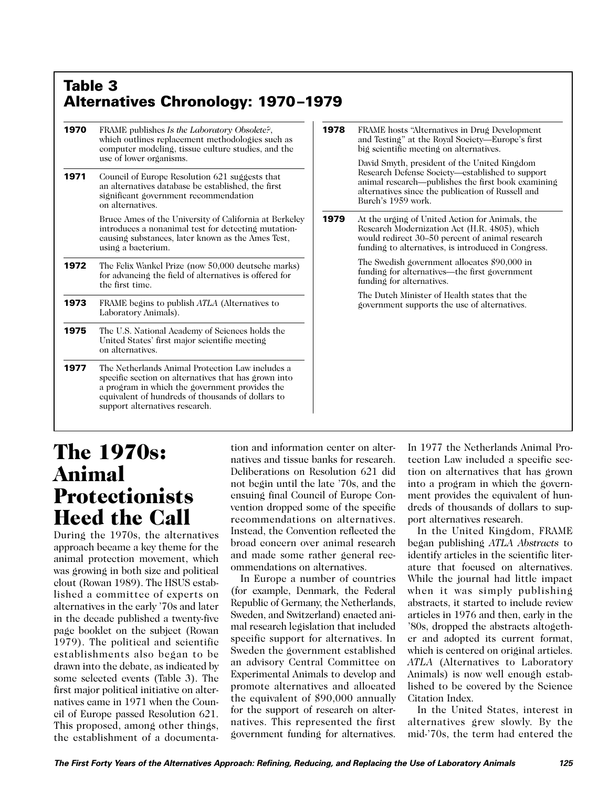#### **Table 3 Alternatives Chronology: 1970–1979**

| 1970 | FRAME publishes Is the Laboratory Obsolete?,<br>which outlines replacement methodologies such as<br>computer modeling, tissue culture studies, and the<br>use of lower organisms.                                                                 |
|------|---------------------------------------------------------------------------------------------------------------------------------------------------------------------------------------------------------------------------------------------------|
| 1971 | Council of Europe Resolution 621 suggests that<br>an alternatives database be established, the first<br>significant government recommendation<br>on alternatives.                                                                                 |
|      | Bruce Ames of the University of California at Berkeley<br>introduces a nonanimal test for detecting mutation-<br>causing substances, later known as the Ames Test,<br>using a bacterium.                                                          |
| 1972 | The Felix Wankel Prize (now 50,000 deutsche marks)<br>for advancing the field of alternatives is offered for<br>the first time.                                                                                                                   |
| 1973 | FRAME begins to publish ATLA (Alternatives to<br>Laboratory Animals).                                                                                                                                                                             |
| 1975 | The U.S. National Academy of Sciences holds the<br>United States' first major scientific meeting<br>on alternatives.                                                                                                                              |
| 1977 | The Netherlands Animal Protection Law includes a<br>specific section on alternatives that has grown into<br>a program in which the government provides the<br>equivalent of hundreds of thousands of dollars to<br>support alternatives research. |

**1978** FRAME hosts "Alternatives in Drug Development and Testing" at the Royal Society—Europe's first big scientific meeting on alternatives.

> David Smyth, president of the United Kingdom Research Defense Society—established to support animal research—publishes the first book examining alternatives since the publication of Russell and Burch's 1959 work.

**1979** At the urging of United Action for Animals, the Research Modernization Act (H.R. 4805), which would redirect 30–50 percent of animal research funding to alternatives, is introduced in Congress.

> The Swedish government allocates \$90,000 in funding for alternatives—the first government funding for alternatives.

The Dutch Minister of Health states that the government supports the use of alternatives.

### The 1970s: Animal Protectionists Heed the Call

During the 1970s, the alternatives approach became a key theme for the animal protection movement, which was growing in both size and political clout (Rowan 1989). The HSUS established a committee of experts on alternatives in the early '70s and later in the decade published a twenty-five page booklet on the subject (Rowan 1979). The political and scientific establishments also began to be drawn into the debate, as indicated by some selected events (Table 3). The first major political initiative on alternatives came in 1971 when the Council of Europe passed Resolution 621. This proposed, among other things, the establishment of a documentation and information center on alternatives and tissue banks for research. Deliberations on Resolution 621 did not begin until the late '70s, and the ensuing final Council of Europe Convention dropped some of the specific recommendations on alternatives. Instead, the Convention reflected the broad concern over animal research and made some rather general recommendations on alternatives.

In Europe a number of countries (for example, Denmark, the Federal Republic of Germany, the Netherlands, Sweden, and Switzerland) enacted animal research legislation that included specific support for alternatives. In Sweden the government established an advisory Central Committee on Experimental Animals to develop and promote alternatives and allocated the equivalent of \$90,000 annually for the support of research on alternatives. This represented the first government funding for alternatives.

In 1977 the Netherlands Animal Protection Law included a specific section on alternatives that has grown into a program in which the government provides the equivalent of hundreds of thousands of dollars to support alternatives research.

In the United Kingdom, FRAME began publishing *ATLA Abstracts* to identify articles in the scientific literature that focused on alternatives. While the journal had little impact when it was simply publishing abstracts, it started to include review articles in 1976 and then, early in the '80s, dropped the abstracts altogether and adopted its current format, which is centered on original articles. *ATLA* (Alternatives to Laboratory Animals) is now well enough established to be covered by the Science Citation Index.

In the United States, interest in alternatives grew slowly. By the mid-'70s, the term had entered the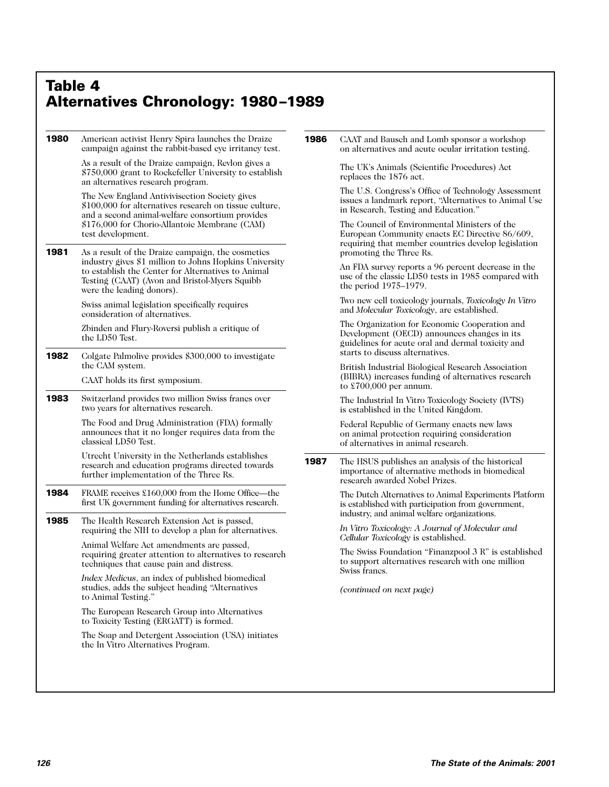### **Table 4 Alternatives Chronology: 1980–1989**

| 1980 | American activist Henry Spira launches the Draize<br>campaign against the rabbit-based eye irritancy test.                                                                                                                                      | 1986 | CAAT and Bausch and Lomb sponsor a workshop<br>on alternatives and acute ocular irritation testing.                                                                               |
|------|-------------------------------------------------------------------------------------------------------------------------------------------------------------------------------------------------------------------------------------------------|------|-----------------------------------------------------------------------------------------------------------------------------------------------------------------------------------|
|      | As a result of the Draize campaign, Revlon gives a<br>\$750,000 grant to Rockefeller University to establish<br>an alternatives research program.                                                                                               |      | The UK's Animals (Scientific Procedures) Act<br>replaces the 1876 act.                                                                                                            |
|      | The New England Antivivisection Society gives<br>\$100,000 for alternatives research on tissue culture,<br>and a second animal-welfare consortium provides                                                                                      |      | The U.S. Congress's Office of Technology Assessment<br>issues a landmark report, "Alternatives to Animal Use<br>in Research, Testing and Education."                              |
|      | \$176,000 for Chorio-Allantoic Membrane (CAM)<br>test development.                                                                                                                                                                              | 1987 | The Council of Environmental Ministers of the<br>European Community enacts EC Directive 86/609,<br>requiring that member countries develop legislation<br>promoting the Three Rs. |
| 1981 | As a result of the Draize campaign, the cosmetics<br>industry gives \$1 million to Johns Hopkins University<br>to establish the Center for Alternatives to Animal<br>Testing (CAAT) (Avon and Bristol-Myers Squibb<br>were the leading donors). |      |                                                                                                                                                                                   |
|      |                                                                                                                                                                                                                                                 |      | An FDA survey reports a 96 percent decrease in the<br>use of the classic LD50 tests in 1985 compared with<br>the period 1975–1979.                                                |
|      | Swiss animal legislation specifically requires<br>consideration of alternatives.                                                                                                                                                                |      | Two new cell toxicology journals, Toxicology In Vitro<br>and Molecular Toxicology, are established.                                                                               |
|      | Zbinden and Flury-Roversi publish a critique of<br>the LD50 Test.                                                                                                                                                                               |      | The Organization for Economic Cooperation and<br>Development (OECD) announces changes in its<br>guidelines for acute oral and dermal toxicity and                                 |
| 1982 | Colgate Palmolive provides \$300,000 to investigate<br>the CAM system.                                                                                                                                                                          |      | starts to discuss alternatives.<br>British Industrial Biological Research Association                                                                                             |
|      | CAAT holds its first symposium.                                                                                                                                                                                                                 |      | (BIBRA) increases funding of alternatives research<br>to $$700,000$ per annum.                                                                                                    |
| 1983 | Switzerland provides two million Swiss francs over<br>two years for alternatives research.                                                                                                                                                      |      | The Industrial In Vitro Toxicology Society (IVTS)<br>is established in the United Kingdom.                                                                                        |
|      | The Food and Drug Administration (FDA) formally<br>announces that it no longer requires data from the<br>classical LD50 Test.                                                                                                                   |      | Federal Republic of Germany enacts new laws<br>on animal protection requiring consideration<br>of alternatives in animal research.                                                |
|      | Utrecht University in the Netherlands establishes<br>research and education programs directed towards<br>further implementation of the Three Rs.                                                                                                |      | The HSUS publishes an analysis of the historical<br>importance of alternative methods in biomedical<br>research awarded Nobel Prizes.                                             |
| 1984 | FRAME receives \$160,000 from the Home Office—the<br>first UK government funding for alternatives research.                                                                                                                                     |      | The Dutch Alternatives to Animal Experiments Platform<br>is established with participation from government,<br>industry, and animal welfare organizations.                        |
| 1985 | The Health Research Extension Act is passed,<br>requiring the NIH to develop a plan for alternatives.                                                                                                                                           |      | In Vitro Toxicology: A Journal of Molecular and<br>Cellular Toxicology is established.                                                                                            |
|      | Animal Welfare Act amendments are passed,<br>requiring greater attention to alternatives to research<br>techniques that cause pain and distress.                                                                                                |      | The Swiss Foundation "Finanzpool 3 R" is established<br>to support alternatives research with one million<br>Swiss francs.                                                        |
|      | Index Medicus, an index of published biomedical<br>studies, adds the subject heading "Alternatives<br>to Animal Testing."                                                                                                                       |      | (continued on next page)                                                                                                                                                          |
|      | The European Research Group into Alternatives<br>to Toxicity Testing (ERGATT) is formed.                                                                                                                                                        |      |                                                                                                                                                                                   |
|      | The Soap and Detergent Association (USA) initiates<br>the In Vitro Alternatives Program.                                                                                                                                                        |      |                                                                                                                                                                                   |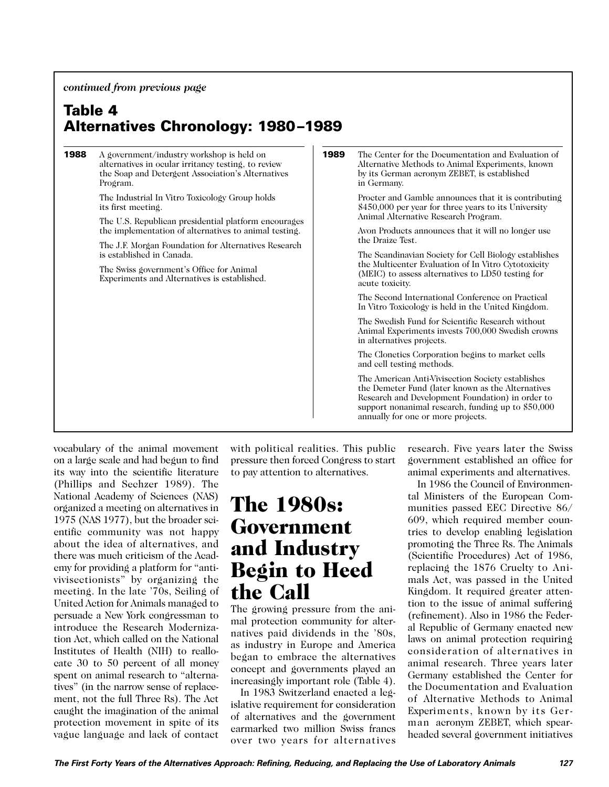*continued from previous page*

### **Table 4 Alternatives Chronology: 1980–1989**

**1988** A government/industry workshop is held on alternatives in ocular irritancy testing, to review the Soap and Detergent Association's Alternatives Program. The Industrial In Vitro Toxicology Group holds its first meeting. The U.S. Republican presidential platform encourages the implementation of alternatives to animal testing. The J.F. Morgan Foundation for Alternatives Research is established in Canada. The Swiss government's Office for Animal Experiments and Alternatives is established. **1989** The Center for the Documentation and Evaluation of Alternative Methods to Animal Experiments, known by its German acronym ZEBET, is established in Germany. Procter and Gamble announces that it is contributing \$450,000 per year for three years to its University Animal Alternative Research Program. Avon Products announces that it will no longer use the Draize Test. The Scandinavian Society for Cell Biology establishes the Multicenter Evaluation of In Vitro Cytotoxicity (MEIC) to assess alternatives to LD50 testing for acute toxicity. The Second International Conference on Practical In Vitro Toxicology is held in the United Kingdom. The Swedish Fund for Scientific Research without Animal Experiments invests 700,000 Swedish crowns in alternatives projects. The Clonetics Corporation begins to market cells and cell testing methods. The American Anti-Vivisection Society establishes the Demeter Fund (later known as the Alternatives Research and Development Foundation) in order to support nonanimal research, funding up to \$50,000 annually for one or more projects.

vocabulary of the animal movement on a large scale and had begun to find its way into the scientific literature (Phillips and Sechzer 1989). The National Academy of Sciences (NAS) organized a meeting on alternatives in 1975 (NAS 1977), but the broader scientific community was not happy about the idea of alternatives, and there was much criticism of the Academy for providing a platform for "antivivisectionists" by organizing the meeting. In the late '70s, Seiling of United Action for Animals managed to persuade a New York congressman to introduce the Research Modernization Act, which called on the National Institutes of Health (NIH) to reallocate 30 to 50 percent of all money spent on animal research to "alternatives" (in the narrow sense of replacement, not the full Three Rs). The Act caught the imagination of the animal protection movement in spite of its vague language and lack of contact

with political realities. This public pressure then forced Congress to start to pay attention to alternatives.

### The 1980s: Government and Industry Begin to Heed the Call

The growing pressure from the animal protection community for alternatives paid dividends in the '80s, as industry in Europe and America began to embrace the alternatives concept and governments played an increasingly important role (Table 4).

In 1983 Switzerland enacted a legislative requirement for consideration of alternatives and the government earmarked two million Swiss francs over two years for alternatives

research. Five years later the Swiss government established an office for animal experiments and alternatives.

In 1986 the Council of Environmental Ministers of the European Communities passed EEC Directive 86/ 609, which required member countries to develop enabling legislation promoting the Three Rs. The Animals (Scientific Procedures) Act of 1986, replacing the 1876 Cruelty to Animals Act, was passed in the United Kingdom. It required greater attention to the issue of animal suffering (refinement). Also in 1986 the Federal Republic of Germany enacted new laws on animal protection requiring consideration of alternatives in animal research. Three years later Germany established the Center for the Documentation and Evaluation of Alternative Methods to Animal Experiments, known by its German acronym ZEBET, which spearheaded several government initiatives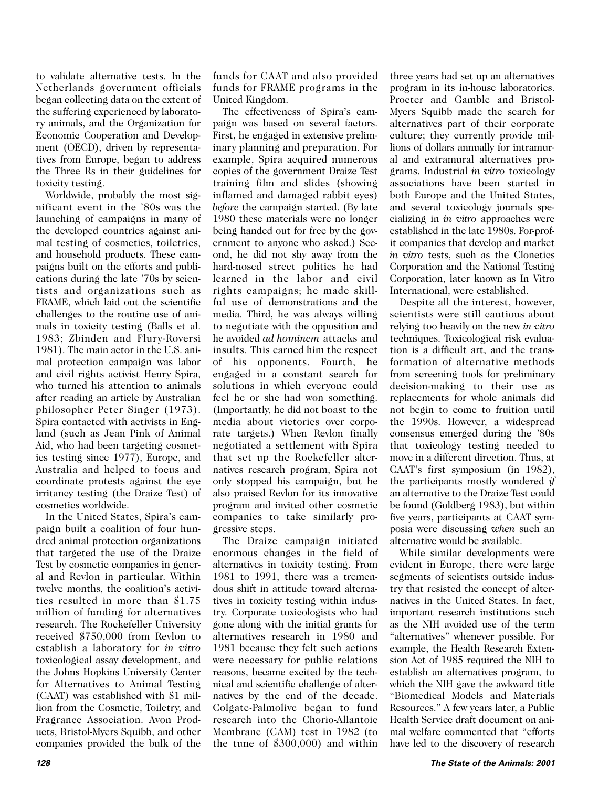to validate alternative tests. In the Netherlands government officials began collecting data on the extent of the suffering experienced by laboratory animals, and the Organization for Economic Cooperation and Development (OECD), driven by representatives from Europe, began to address the Three Rs in their guidelines for toxicity testing.

Worldwide, probably the most significant event in the '80s was the launching of campaigns in many of the developed countries against animal testing of cosmetics, toiletries, and household products. These campaigns built on the efforts and publications during the late '70s by scientists and organizations such as FRAME, which laid out the scientific challenges to the routine use of animals in toxicity testing (Balls et al. 1983; Zbinden and Flury-Roversi 1981). The main actor in the U.S. animal protection campaign was labor and civil rights activist Henry Spira, who turned his attention to animals after reading an article by Australian philosopher Peter Singer (1973). Spira contacted with activists in England (such as Jean Pink of Animal Aid, who had been targeting cosmetics testing since 1977), Europe, and Australia and helped to focus and coordinate protests against the eye irritancy testing (the Draize Test) of cosmetics worldwide.

In the United States, Spira's campaign built a coalition of four hundred animal protection organizations that targeted the use of the Draize Test by cosmetic companies in general and Revlon in particular. Within twelve months, the coalition's activities resulted in more than \$1.75 million of funding for alternatives research. The Rockefeller University received \$750,000 from Revlon to establish a laboratory for *in vitro* toxicological assay development, and the Johns Hopkins University Center for Alternatives to Animal Testing (CAAT) was established with \$1 million from the Cosmetic, Toiletry, and Fragrance Association. Avon Products, Bristol-Myers Squibb, and other companies provided the bulk of the

funds for CAAT and also provided funds for FRAME programs in the United Kingdom.

The effectiveness of Spira's campaign was based on several factors. First, he engaged in extensive preliminary planning and preparation. For example, Spira acquired numerous copies of the government Draize Test training film and slides (showing inflamed and damaged rabbit eyes) *before* the campaign started. (By late 1980 these materials were no longer being handed out for free by the government to anyone who asked.) Second, he did not shy away from the hard-nosed street politics he had learned in the labor and civil rights campaigns; he made skillful use of demonstrations and the media. Third, he was always willing to negotiate with the opposition and he avoided *ad hominem* attacks and insults. This earned him the respect of his opponents. Fourth, he engaged in a constant search for solutions in which everyone could feel he or she had won something. (Importantly, he did not boast to the media about victories over corporate targets.) When Revlon finally negotiated a settlement with Spira that set up the Rockefeller alternatives research program, Spira not only stopped his campaign, but he also praised Revlon for its innovative program and invited other cosmetic companies to take similarly progressive steps.

The Draize campaign initiated enormous changes in the field of alternatives in toxicity testing. From 1981 to 1991, there was a tremendous shift in attitude toward alternatives in toxicity testing within industry. Corporate toxicologists who had gone along with the initial grants for alternatives research in 1980 and 1981 because they felt such actions were necessary for public relations reasons, became excited by the technical and scientific challenge of alternatives by the end of the decade. Colgate-Palmolive began to fund research into the Chorio-Allantoic Membrane (CAM) test in 1982 (to the tune of \$300,000) and within

three years had set up an alternatives program in its in-house laboratories. Procter and Gamble and Bristol-Myers Squibb made the search for alternatives part of their corporate culture; they currently provide millions of dollars annually for intramural and extramural alternatives programs. Industrial *in vitro* toxicology associations have been started in both Europe and the United States, and several toxicology journals specializing in *in vitro* approaches were established in the late 1980s. For-profit companies that develop and market *in vitro* tests, such as the Clonetics Corporation and the National Testing Corporation, later known as In Vitro International, were established.

Despite all the interest, however, scientists were still cautious about relying too heavily on the new *in vitro* techniques. Toxicological risk evaluation is a difficult art, and the transformation of alternative methods from screening tools for preliminary decision-making to their use as replacements for whole animals did not begin to come to fruition until the 1990s. However, a widespread consensus emerged during the '80s that toxicology testing needed to move in a different direction. Thus, at CAAT's first symposium (in 1982), the participants mostly wondered *if* an alternative to the Draize Test could be found (Goldberg 1983), but within five years, participants at CAAT symposia were discussing *when* such an alternative would be available.

While similar developments were evident in Europe, there were large segments of scientists outside industry that resisted the concept of alternatives in the United States. In fact, important research institutions such as the NIH avoided use of the term "alternatives" whenever possible. For example, the Health Research Extension Act of 1985 required the NIH to establish an alternatives program, to which the NIH gave the awkward title "Biomedical Models and Materials Resources." A few years later, a Public Health Service draft document on animal welfare commented that "efforts have led to the discovery of research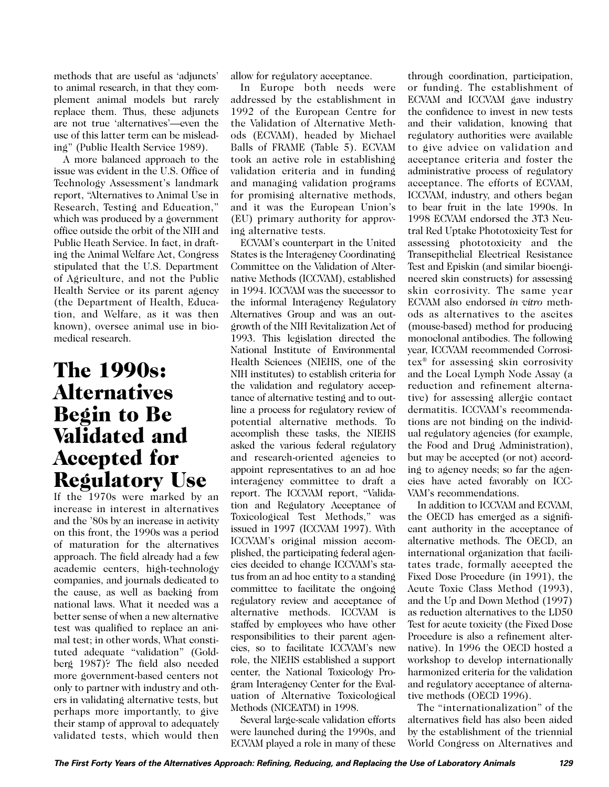methods that are useful as 'adjuncts' to animal research, in that they complement animal models but rarely replace them. Thus, these adjuncts are not true 'alternatives'—even the use of this latter term can be misleading" (Public Health Service 1989).

A more balanced approach to the issue was evident in the U.S. Office of Technology Assessment's landmark report, "Alternatives to Animal Use in Research, Testing and Education," which was produced by a government office outside the orbit of the NIH and Public Heath Service. In fact, in drafting the Animal Welfare Act, Congress stipulated that the U.S. Department of Agriculture, and not the Public Health Service or its parent agency (the Department of Health, Education, and Welfare, as it was then known), oversee animal use in biomedical research.

### The 1990s: Alternatives Begin to Be Validated and Accepted for Regulatory Use

If the 1970s were marked by an increase in interest in alternatives and the '80s by an increase in activity on this front, the 1990s was a period of maturation for the alternatives approach. The field already had a few academic centers, high-technology companies, and journals dedicated to the cause, as well as backing from national laws. What it needed was a better sense of when a new alternative test was qualified to replace an animal test; in other words, What constituted adequate "validation" (Goldberg 1987)? The field also needed more government-based centers not only to partner with industry and others in validating alternative tests, but perhaps more importantly, to give their stamp of approval to adequately validated tests, which would then allow for regulatory acceptance.

In Europe both needs were addressed by the establishment in 1992 of the European Centre for the Validation of Alternative Methods (ECVAM), headed by Michael Balls of FRAME (Table 5). ECVAM took an active role in establishing validation criteria and in funding and managing validation programs for promising alternative methods, and it was the European Union's (EU) primary authority for approving alternative tests.

ECVAM's counterpart in the United States is the Interagency Coordinating Committee on the Validation of Alternative Methods (ICCVAM), established in 1994. ICCVAM was the successor to the informal Interagency Regulatory Alternatives Group and was an outgrowth of the NIH Revitalization Act of 1993. This legislation directed the National Institute of Environmental Health Sciences (NIEHS, one of the NIH institutes) to establish criteria for the validation and regulatory acceptance of alternative testing and to outline a process for regulatory review of potential alternative methods. To accomplish these tasks, the NIEHS asked the various federal regulatory and research-oriented agencies to appoint representatives to an ad hoc interagency committee to draft a report. The ICCVAM report, "Validation and Regulatory Acceptance of Toxicological Test Methods," was issued in 1997 (ICCVAM 1997). With ICCVAM's original mission accomplished, the participating federal agencies decided to change ICCVAM's status from an ad hoc entity to a standing committee to facilitate the ongoing regulatory review and acceptance of alternative methods. ICCVAM is staffed by employees who have other responsibilities to their parent agencies, so to facilitate ICCVAM's new role, the NIEHS established a support center, the National Toxicology Program Interagency Center for the Evaluation of Alternative Toxicological Methods (NICEATM) in 1998.

Several large-scale validation efforts were launched during the 1990s, and ECVAM played a role in many of these

through coordination, participation, or funding. The establishment of ECVAM and ICCVAM gave industry the confidence to invest in new tests and their validation, knowing that regulatory authorities were available to give advice on validation and acceptance criteria and foster the administrative process of regulatory acceptance. The efforts of ECVAM, ICCVAM, industry, and others began to bear fruit in the late 1990s. In 1998 ECVAM endorsed the 3T3 Neutral Red Uptake Phototoxicity Test for assessing phototoxicity and the Transepithelial Electrical Resistance Test and Episkin (and similar bioengineered skin constructs) for assessing skin corrosivity. The same year ECVAM also endorsed *in vitro* methods as alternatives to the ascites (mouse-based) method for producing monoclonal antibodies. The following year, ICCVAM recommended Corrositex® for assessing skin corrosivity and the Local Lymph Node Assay (a reduction and refinement alternative) for assessing allergic contact dermatitis. ICCVAM's recommendations are not binding on the individual regulatory agencies (for example, the Food and Drug Administration), but may be accepted (or not) according to agency needs; so far the agencies have acted favorably on ICC-VAM's recommendations.

In addition to ICCVAM and ECVAM, the OECD has emerged as a significant authority in the acceptance of alternative methods. The OECD, an international organization that facilitates trade, formally accepted the Fixed Dose Procedure (in 1991), the Acute Toxic Class Method (1993), and the Up and Down Method (1997) as reduction alternatives to the LD50 Test for acute toxicity (the Fixed Dose Procedure is also a refinement alternative). In 1996 the OECD hosted a workshop to develop internationally harmonized criteria for the validation and regulatory acceptance of alternative methods (OECD 1996).

The "internationalization" of the alternatives field has also been aided by the establishment of the triennial World Congress on Alternatives and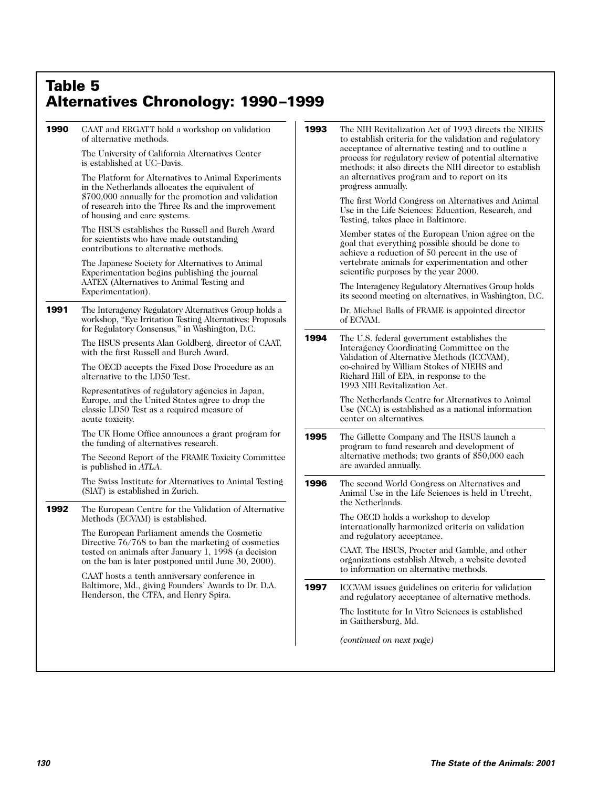### **Table 5 Alternatives Chronology: 1990–1999**

| 1990 | CAAT and ERGATT hold a workshop on validation<br>of alternative methods.                                                                                                                                                                                        | 1993 | The NIH Revitalization Act of 1993 directs the NIEHS<br>to establish criteria for the validation and regulatory<br>acceptance of alternative testing and to outline a<br>process for regulatory review of potential alternative<br>methods; it also directs the NIH director to establish<br>an alternatives program and to report on its<br>progress annually. |
|------|-----------------------------------------------------------------------------------------------------------------------------------------------------------------------------------------------------------------------------------------------------------------|------|-----------------------------------------------------------------------------------------------------------------------------------------------------------------------------------------------------------------------------------------------------------------------------------------------------------------------------------------------------------------|
|      | The University of California Alternatives Center<br>is established at UC-Davis.                                                                                                                                                                                 |      |                                                                                                                                                                                                                                                                                                                                                                 |
|      | The Platform for Alternatives to Animal Experiments<br>in the Netherlands allocates the equivalent of<br>\$700,000 annually for the promotion and validation<br>of research into the Three Rs and the improvement<br>of housing and care systems.               |      |                                                                                                                                                                                                                                                                                                                                                                 |
|      |                                                                                                                                                                                                                                                                 |      | The first World Congress on Alternatives and Animal<br>Use in the Life Sciences: Education, Research, and<br>Testing, takes place in Baltimore.                                                                                                                                                                                                                 |
|      | The HSUS establishes the Russell and Burch Award<br>for scientists who have made outstanding<br>contributions to alternative methods.                                                                                                                           |      | Member states of the European Union agree on the<br>goal that everything possible should be done to<br>achieve a reduction of 50 percent in the use of<br>vertebrate animals for experimentation and other<br>scientific purposes by the year 2000.                                                                                                             |
|      | The Japanese Society for Alternatives to Animal<br>Experimentation begins publishing the journal<br>AATEX (Alternatives to Animal Testing and<br>Experimentation).                                                                                              |      |                                                                                                                                                                                                                                                                                                                                                                 |
|      |                                                                                                                                                                                                                                                                 |      | The Interagency Regulatory Alternatives Group holds<br>its second meeting on alternatives, in Washington, D.C.                                                                                                                                                                                                                                                  |
| 1991 | The Interagency Regulatory Alternatives Group holds a<br>workshop, "Eye Irritation Testing Alternatives: Proposals<br>for Regulatory Consensus," in Washington, D.C.                                                                                            |      | Dr. Michael Balls of FRAME is appointed director<br>of ECVAM.                                                                                                                                                                                                                                                                                                   |
|      | The HSUS presents Alan Goldberg, director of CAAT,<br>with the first Russell and Burch Award.                                                                                                                                                                   | 1994 | The U.S. federal government establishes the<br>Interagency Coordinating Committee on the<br>Validation of Alternative Methods (ICCVAM),<br>co-chaired by William Stokes of NIEHS and<br>Richard Hill of EPA, in response to the<br>1993 NIH Revitalization Act.                                                                                                 |
|      | The OECD accepts the Fixed Dose Procedure as an<br>alternative to the LD50 Test.                                                                                                                                                                                | 1995 |                                                                                                                                                                                                                                                                                                                                                                 |
|      | Representatives of regulatory agencies in Japan,<br>Europe, and the United States agree to drop the<br>classic LD50 Test as a required measure of<br>acute toxicity.                                                                                            |      | The Netherlands Centre for Alternatives to Animal<br>Use (NCA) is established as a national information<br>center on alternatives.                                                                                                                                                                                                                              |
|      | The UK Home Office announces a grant program for<br>the funding of alternatives research.                                                                                                                                                                       |      | The Gillette Company and The HSUS launch a<br>program to fund research and development of<br>alternative methods; two grants of \$50,000 each<br>are awarded annually.                                                                                                                                                                                          |
|      | The Second Report of the FRAME Toxicity Committee<br>is published in ATLA.                                                                                                                                                                                      |      |                                                                                                                                                                                                                                                                                                                                                                 |
|      | The Swiss Institute for Alternatives to Animal Testing<br>(SIAT) is established in Zurich.                                                                                                                                                                      | 1996 | The second World Congress on Alternatives and<br>Animal Use in the Life Sciences is held in Utrecht,<br>the Netherlands.                                                                                                                                                                                                                                        |
| 1992 | The European Centre for the Validation of Alternative<br>Methods (ECVAM) is established.                                                                                                                                                                        |      | The OECD holds a workshop to develop<br>internationally harmonized criteria on validation                                                                                                                                                                                                                                                                       |
|      | The European Parliament amends the Cosmetic<br>Directive 76/768 to ban the marketing of cosmetics<br>tested on animals after January 1, 1998 (a decision<br>on the ban is later postponed until June 30, 2000).<br>CAAT hosts a tenth anniversary conference in |      | and regulatory acceptance.<br>CAAT, The HSUS, Procter and Gamble, and other                                                                                                                                                                                                                                                                                     |
|      |                                                                                                                                                                                                                                                                 |      | organizations establish Altweb, a website devoted<br>to information on alternative methods.                                                                                                                                                                                                                                                                     |
|      | Baltimore, Md., giving Founders' Awards to Dr. D.A.<br>Henderson, the CTFA, and Henry Spira.                                                                                                                                                                    | 1997 | ICCVAM issues guidelines on criteria for validation<br>and regulatory acceptance of alternative methods.                                                                                                                                                                                                                                                        |
|      |                                                                                                                                                                                                                                                                 |      | The Institute for In Vitro Sciences is established<br>in Gaithersburg, Md.                                                                                                                                                                                                                                                                                      |
|      |                                                                                                                                                                                                                                                                 |      | (continued on next page)                                                                                                                                                                                                                                                                                                                                        |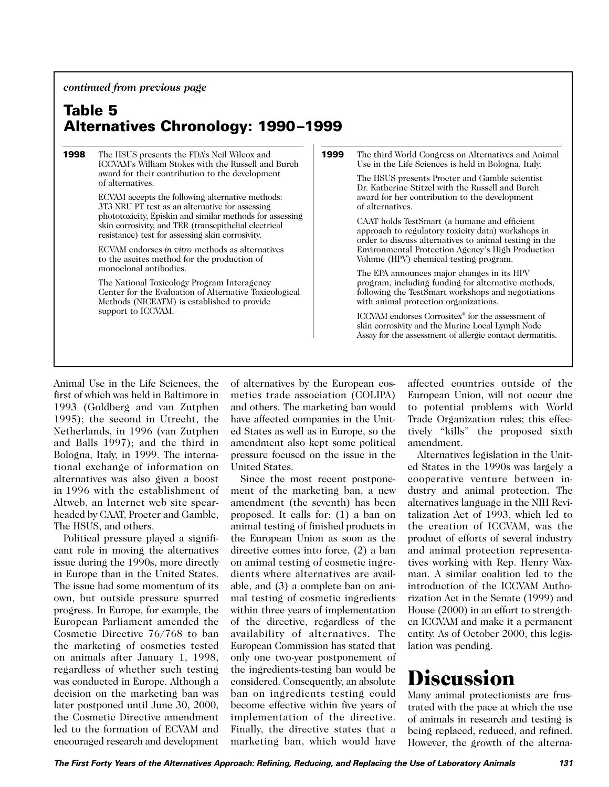*continued from previous page*

### **Table 5 Alternatives Chronology: 1990–1999**

| 1998 | The HSUS presents the FDA's Neil Wilcox and<br>ICCVAM's William Stokes with the Russell and Burch<br>award for their contribution to the development<br>of alternatives.                                                                                                     | 19 |
|------|------------------------------------------------------------------------------------------------------------------------------------------------------------------------------------------------------------------------------------------------------------------------------|----|
|      | ECVAM accepts the following alternative methods:<br>3T3 NRU PT test as an alternative for assessing<br>phototoxicity, Episkin and similar methods for assessing<br>skin corrosivity, and TER (transepithelial electrical<br>resistance) test for assessing skin corrosivity. |    |
|      | ECVAM endorses in vitro methods as alternatives<br>to the ascites method for the production of<br>monoclonal antibodies.                                                                                                                                                     |    |
|      | The National Toxicology Program Interagency<br>Center for the Evaluation of Alternative Toxicological<br>Methods (NICEATM) is established to provide<br>support to ICCVAM.                                                                                                   |    |
|      |                                                                                                                                                                                                                                                                              |    |

**999** The third World Congress on Alternatives and Animal Use in the Life Sciences is held in Bologna, Italy.

> The HSUS presents Procter and Gamble scientist Dr. Katherine Stitzel with the Russell and Burch award for her contribution to the development of alternatives.

CAAT holds TestSmart (a humane and efficient approach to regulatory toxicity data) workshops in order to discuss alternatives to animal testing in the Environmental Protection Agency's High Production Volume (HPV) chemical testing program.

The EPA announces major changes in its HPV program, including funding for alternative methods, following the TestSmart workshops and negotiations with animal protection organizations.

ICCVAM endorses Corrositex® for the assessment of skin corrosivity and the Murine Local Lymph Node Assay for the assessment of allergic contact dermatitis.

Animal Use in the Life Sciences, the first of which was held in Baltimore in 1993 (Goldberg and van Zutphen 1995); the second in Utrecht, the Netherlands, in 1996 (van Zutphen and Balls 1997); and the third in Bologna, Italy, in 1999. The international exchange of information on alternatives was also given a boost in 1996 with the establishment of Altweb, an Internet web site spearheaded by CAAT, Procter and Gamble, The HSUS, and others.

Political pressure played a significant role in moving the alternatives issue during the 1990s, more directly in Europe than in the United States. The issue had some momentum of its own, but outside pressure spurred progress. In Europe, for example, the European Parliament amended the Cosmetic Directive 76/768 to ban the marketing of cosmetics tested on animals after January 1, 1998, regardless of whether such testing was conducted in Europe. Although a decision on the marketing ban was later postponed until June 30, 2000, the Cosmetic Directive amendment led to the formation of ECVAM and encouraged research and development

of alternatives by the European cosmetics trade association (COLIPA) and others. The marketing ban would have affected companies in the United States as well as in Europe, so the amendment also kept some political pressure focused on the issue in the United States.

Since the most recent postponement of the marketing ban, a new amendment (the seventh) has been proposed. It calls for: (1) a ban on animal testing of finished products in the European Union as soon as the directive comes into force, (2) a ban on animal testing of cosmetic ingredients where alternatives are available, and (3) a complete ban on animal testing of cosmetic ingredients within three years of implementation of the directive, regardless of the availability of alternatives. The European Commission has stated that only one two-year postponement of the ingredients-testing ban would be considered. Consequently, an absolute ban on ingredients testing could become effective within five years of implementation of the directive. Finally, the directive states that a marketing ban, which would have

affected countries outside of the European Union, will not occur due to potential problems with World Trade Organization rules; this effectively "kills" the proposed sixth amendment.

Alternatives legislation in the United States in the 1990s was largely a cooperative venture between industry and animal protection. The alternatives language in the NIH Revitalization Act of 1993, which led to the creation of ICCVAM, was the product of efforts of several industry and animal protection representatives working with Rep. Henry Waxman. A similar coalition led to the introduction of the ICCVAM Authorization Act in the Senate (1999) and House (2000) in an effort to strengthen ICCVAM and make it a permanent entity. As of October 2000, this legislation was pending.

# **Discussion**

Many animal protectionists are frustrated with the pace at which the use of animals in research and testing is being replaced, reduced, and refined. However, the growth of the alterna-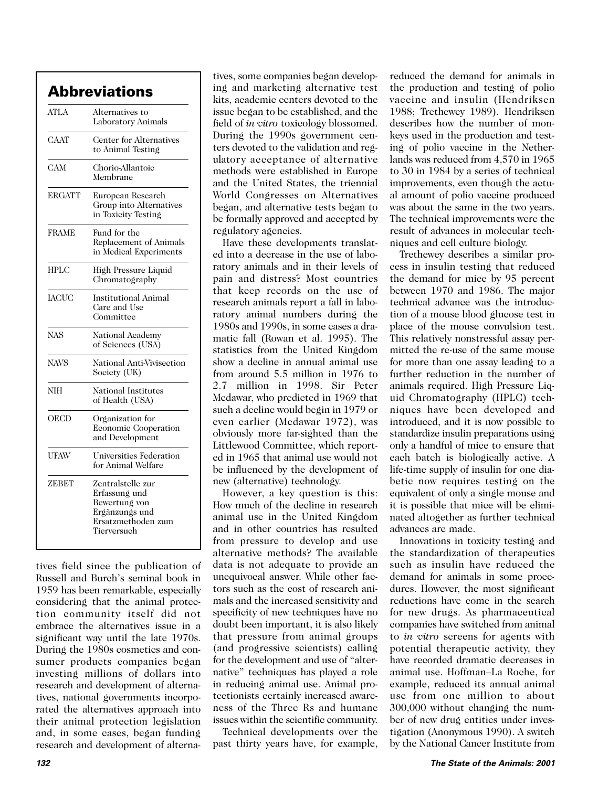#### **Abbreviations**

| <b>ATLA</b>  | Alternatives to<br>Laboratory Animals                                                                      |
|--------------|------------------------------------------------------------------------------------------------------------|
| <b>CAAT</b>  | Center for Alternatives<br>to Animal Testing                                                               |
| <b>CAM</b>   | Chorio-Allantoie<br>Membrane                                                                               |
| ERGATT       | European Research<br>Group into Alternatives<br>in Toxicity Testing                                        |
| <b>FRAME</b> | Fund for the<br>Replacement of Animals<br>in Medical Experiments                                           |
| <b>HPLC</b>  | High Pressure Liquid<br>Chromatography                                                                     |
| <b>IACUC</b> | <b>Institutional Animal</b><br>Care and Use<br>Committee                                                   |
| <b>NAS</b>   | National Academy<br>of Sciences (USA)                                                                      |
| <b>NAVS</b>  | National Anti-Vivisection<br>Society (UK)                                                                  |
| NIH          | National Institutes<br>of Health (USA)                                                                     |
| OECD         | Organization for<br><b>Economic Cooperation</b><br>and Development                                         |
| UFAW         | Universities Federation<br>for Animal Welfare                                                              |
| ZEBET        | Zentralstelle zur<br>Erfassung und<br>Bewertung von<br>Ergänzungs und<br>Ersatzmethoden zum<br>Tierversuch |

tives field since the publication of Russell and Burch's seminal book in 1959 has been remarkable, especially considering that the animal protection community itself did not embrace the alternatives issue in a significant way until the late 1970s. During the 1980s cosmetics and consumer products companies began investing millions of dollars into research and development of alternatives, national governments incorporated the alternatives approach into their animal protection legislation and, in some cases, began funding research and development of alternatives, some companies began developing and marketing alternative test kits, academic centers devoted to the issue began to be established, and the field of *in vitro* toxicology blossomed. During the 1990s government centers devoted to the validation and regulatory acceptance of alternative methods were established in Europe and the United States, the triennial World Congresses on Alternatives began, and alternative tests began to be formally approved and accepted by regulatory agencies.

Have these developments translated into a decrease in the use of laboratory animals and in their levels of pain and distress? Most countries that keep records on the use of research animals report a fall in laboratory animal numbers during the 1980s and 1990s, in some cases a dramatic fall (Rowan et al. 1995). The statistics from the United Kingdom show a decline in annual animal use from around 5.5 million in 1976 to 2.7 million in 1998. Sir Peter Medawar, who predicted in 1969 that such a decline would begin in 1979 or even earlier (Medawar 1972), was obviously more far-sighted than the Littlewood Committee, which reported in 1965 that animal use would not be influenced by the development of new (alternative) technology.

However, a key question is this: How much of the decline in research animal use in the United Kingdom and in other countries has resulted from pressure to develop and use alternative methods? The available data is not adequate to provide an unequivocal answer. While other factors such as the cost of research animals and the increased sensitivity and specificity of new techniques have no doubt been important, it is also likely that pressure from animal groups (and progressive scientists) calling for the development and use of "alternative" techniques has played a role in reducing animal use. Animal protectionists certainly increased awareness of the Three Rs and humane issues within the scientific community.

Technical developments over the past thirty years have, for example,

reduced the demand for animals in the production and testing of polio vaccine and insulin (Hendriksen 1988; Trethewey 1989). Hendriksen describes how the number of monkeys used in the production and testing of polio vaccine in the Netherlands was reduced from 4,570 in 1965 to 30 in 1984 by a series of technical improvements, even though the actual amount of polio vaccine produced was about the same in the two years. The technical improvements were the result of advances in molecular techniques and cell culture biology.

Trethewey describes a similar process in insulin testing that reduced the demand for mice by 95 percent between 1970 and 1986. The major technical advance was the introduction of a mouse blood glucose test in place of the mouse convulsion test. This relatively nonstressful assay permitted the re-use of the same mouse for more than one assay leading to a further reduction in the number of animals required. High Pressure Liquid Chromatography (HPLC) techniques have been developed and introduced, and it is now possible to standardize insulin preparations using only a handful of mice to ensure that each batch is biologically active. A life-time supply of insulin for one diabetic now requires testing on the equivalent of only a single mouse and it is possible that mice will be eliminated altogether as further technical advances are made.

Innovations in toxicity testing and the standardization of therapeutics such as insulin have reduced the demand for animals in some procedures. However, the most significant reductions have come in the search for new drugs. As pharmaceutical companies have switched from animal to *in vitro* screens for agents with potential therapeutic activity, they have recorded dramatic decreases in animal use. Hoffman–La Roche, for example, reduced its annual animal use from one million to about 300,000 without changing the number of new drug entities under investigation (Anonymous 1990). A switch by the National Cancer Institute from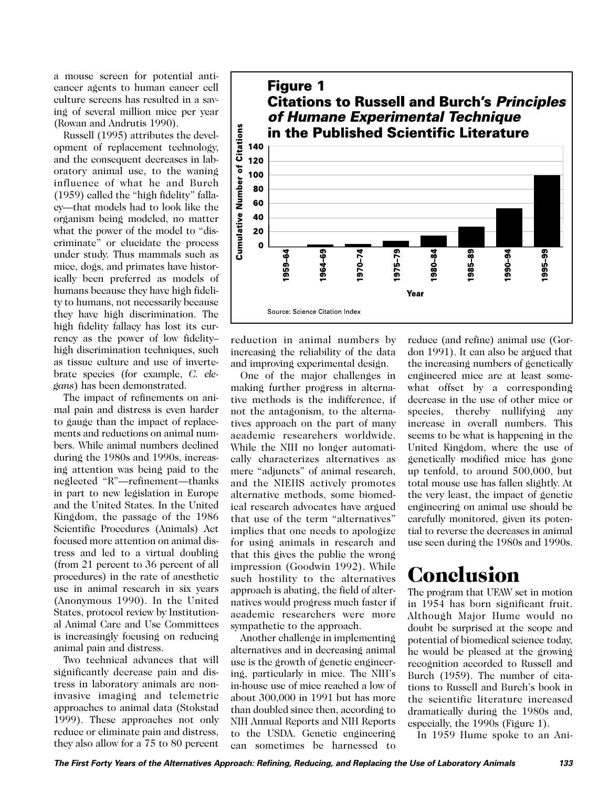a mouse screen for potential anticancer agents to human cancer cell culture screens has resulted in a saving of several million mice per year (Rowan and Andrutis 1990).

Russell (1995) attributes the development of replacement technology, and the consequent decreases in laboratory animal use, to the waning influence of what he and Burch (1959) called the "high fidelity" fallacy—that models had to look like the organism being modeled, no matter what the power of the model to "discriminate" or elucidate the process under study. Thus mammals such as mice, dogs, and primates have historically been preferred as models of humans because they have high fidelity to humans, not necessarily because they have high discrimination. The high fidelity fallacy has lost its currency as the power of low fidelity– high discrimination techniques, such as tissue culture and use of invertebrate species (for example, *C. elegans*) has been demonstrated.

The impact of refinements on animal pain and distress is even harder to gauge than the impact of replacements and reductions on animal numbers. While animal numbers declined during the 1980s and 1990s, increasing attention was being paid to the neglected "R"—refinement—thanks in part to new legislation in Europe and the United States. In the United Kingdom, the passage of the 1986 Scientific Procedures (Animals) Act focused more attention on animal distress and led to a virtual doubling (from 21 percent to 36 percent of all procedures) in the rate of anesthetic use in animal research in six years (Anonymous 1990). In the United States, protocol review by Institutional Animal Care and Use Committees is increasingly focusing on reducing animal pain and distress.

Two technical advances that will significantly decrease pain and distress in laboratory animals are noninvasive imaging and telemetric approaches to animal data (Stokstad 1999). These approaches not only reduce or eliminate pain and distress, they also allow for a 75 to 80 percent



reduction in animal numbers by increasing the reliability of the data and improving experimental design.

One of the major challenges in making further progress in alternative methods is the indifference, if not the antagonism, to the alternatives approach on the part of many academic researchers worldwide. While the NIH no longer automatically characterizes alternatives as mere "adjuncts" of animal research, and the NIEHS actively promotes alternative methods, some biomedical research advocates have argued that use of the term "alternatives" implies that one needs to apologize for using animals in research and that this gives the public the wrong impression (Goodwin 1992). While such hostility to the alternatives approach is abating, the field of alternatives would progress much faster if academic researchers were more sympathetic to the approach.

Another challenge in implementing alternatives and in decreasing animal use is the growth of genetic engineering, particularly in mice. The NIH's in-house use of mice reached a low of about 300,000 in 1991 but has more than doubled since then, according to NIH Annual Reports and NIH Reports to the USDA. Genetic engineering can sometimes be harnessed to reduce (and refine) animal use (Gordon 1991). It can also be argued that the increasing numbers of genetically engineered mice are at least somewhat offset by a corresponding decrease in the use of other mice or species, thereby nullifying any increase in overall numbers. This seems to be what is happening in the United Kingdom, where the use of genetically modified mice has gone up tenfold, to around 500,000, but total mouse use has fallen slightly. At the very least, the impact of genetic engineering on animal use should be carefully monitored, given its potential to reverse the decreases in animal use seen during the 1980s and 1990s.

# **Conclusion**

The program that UFAW set in motion in 1954 has born significant fruit. Although Major Hume would no doubt be surprised at the scope and potential of biomedical science today, he would be pleased at the growing recognition accorded to Russell and Burch (1959). The number of citations to Russell and Burch's book in the scientific literature increased dramatically during the 1980s and, especially, the 1990s (Figure 1).

In 1959 Hume spoke to an Ani-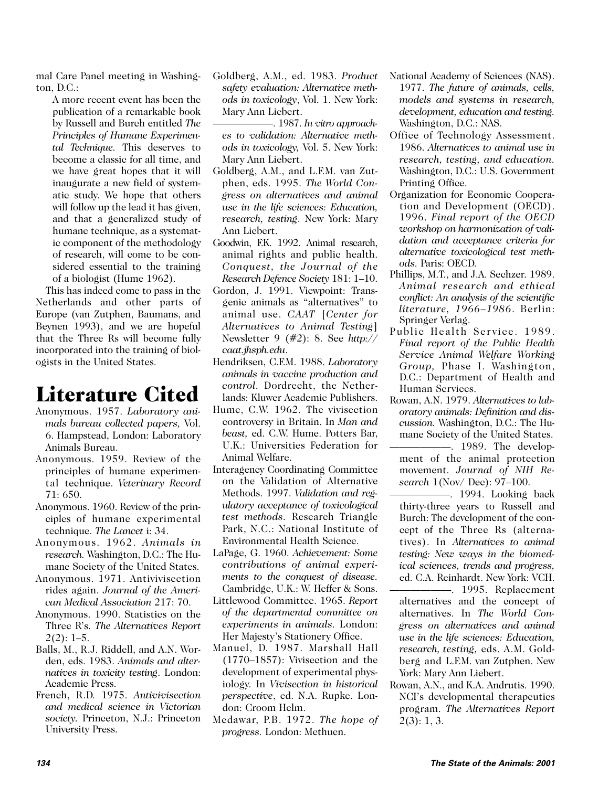mal Care Panel meeting in Washington, D.C.:

A more recent event has been the publication of a remarkable book by Russell and Burch entitled *The Principles of Humane Experimental Technique.* This deserves to become a classic for all time, and we have great hopes that it will inaugurate a new field of systematic study. We hope that others will follow up the lead it has given, and that a generalized study of humane technique, as a systematic component of the methodology of research, will come to be considered essential to the training of a biologist (Hume 1962).

This has indeed come to pass in the Netherlands and other parts of Europe (van Zutphen, Baumans, and Beynen 1993), and we are hopeful that the Three Rs will become fully incorporated into the training of biologists in the United States.

# Literature Cited

- Anonymous. 1957. *Laboratory animals bureau collected papers,* Vol. 6. Hampstead, London: Laboratory Animals Bureau.
- Anonymous. 1959. Review of the principles of humane experimental technique. *Veterinary Record* 71: 650.
- Anonymous. 1960. Review of the principles of humane experimental technique. *The Lancet* i: 34.
- Anonymous. 1962. *Animals in research.* Washington, D.C.: The Humane Society of the United States.
- Anonymous. 1971. Antivivisection rides again. *Journal of the American Medical Association* 217: 70.
- Anonymous. 1990. Statistics on the Three R's. *The Alternatives Report*  $2(2): 1-5.$
- Balls, M., R.J. Riddell, and A.N. Worden, eds. 1983. *Animals and alternatives in toxicity testing*. London: Academic Press.
- French, R.D. 1975. *Antivivisection and medical science in Victorian society.* Princeton, N.J.: Princeton University Press.
- Goldberg, A.M., ed. 1983. *Product safety evaluation: Alternative methods in toxicology*, Vol. 1. New York: Mary Ann Liebert.
- ——————. 1987. *In vitro approaches to validation: Alternative methods in toxicology,* Vol. 5. New York: Mary Ann Liebert.
- Goldberg, A.M., and L.F.M. van Zutphen, eds. 1995. *The World Congress on alternatives and animal use in the life sciences: Education, research, testing*. New York: Mary Ann Liebert.
- Goodwin, F.K. 1992. Animal research, animal rights and public health. *Conquest, the Journal of the Research Defence Society* 181: 1–10.
- Gordon, J. 1991. Viewpoint: Transgenic animals as "alternatives" to animal use. *CAAT* [*Center for Alternatives to Animal Testing*] Newsletter 9 (#2): 8. See *http:// caat.jhsph.edu*.
- Hendriksen, C.F.M. 1988. *Laboratory animals in vaccine production and control*. Dordrecht, the Netherlands: Kluwer Academic Publishers.
- Hume, C.W. 1962. The vivisection controversy in Britain. In *Man and beast,* ed. C.W. Hume. Potters Bar, U.K.: Universities Federation for Animal Welfare.
- Interagency Coordinating Committee on the Validation of Alternative Methods. 1997. *Validation and regulatory acceptance of toxicological test methods.* Research Triangle Park, N.C.: National Institute of Environmental Health Science.
- LaPage, G. 1960. *Achievement: Some contributions of animal experiments to the conquest of disease.* Cambridge, U.K.: W. Heffer & Sons.
- Littlewood Committee. 1965. *Report of the departmental committee on experiments in animals.* London: Her Majesty's Stationery Office.
- Manuel, D. 1987. Marshall Hall (1770–1857): Vivisection and the development of experimental physiology. In *Vivisection in historical perspective*, ed. N.A. Rupke. London: Croom Helm.
- Medawar, P.B. 1972. *The hope of progress.* London: Methuen.
- National Academy of Sciences (NAS). 1977. *The future of animals, cells, models and systems in research, development, education and testing.* Washington, D.C.: NAS.
- Office of Technology Assessment. 1986. *Alternatives to animal use in research, testing, and education.* Washington, D.C.: U.S. Government Printing Office.
- Organization for Economic Cooperation and Development (OECD). 1996. *Final report of the OECD workshop on harmonization of validation and acceptance criteria for alternative toxicological test methods.* Paris: OECD.
- Phillips, M.T., and J.A. Sechzer. 1989. *Animal research and ethical conflict: An analysis of the scientific literature, 1966–1986*. Berlin: Springer Verlag.
- Public Health Service. 1989. *Final report of the Public Health Service Animal Welfare Working Group,* Phase I. Washington, D.C.: Department of Health and Human Services.
- Rowan, A.N. 1979. *Alternatives to laboratory animals: Definition and discussion.* Washington, D.C.: The Humane Society of the United States. ——————. 1989. The develop-
- ment of the animal protection movement. *Journal of NIH Research* 1(Nov/ Dec): 97–100.
- ——————. 1994. Looking back thirty-three years to Russell and Burch: The development of the concept of the Three Rs (alternatives). In *Alternatives to animal testing: New ways in the biomedical sciences, trends and progress,* ed. C.A. Reinhardt. New York: VCH.
- ——————. 1995. Replacement alternatives and the concept of alternatives. In *The World Congress on alternatives and animal use in the life sciences: Education, research, testing,* eds. A.M. Goldberg and L.F.M. van Zutphen. New York: Mary Ann Liebert.
- Rowan, A.N., and K.A. Andrutis. 1990. NCI's developmental therapeutics program. *The Alternatives Report* 2(3): 1, 3.